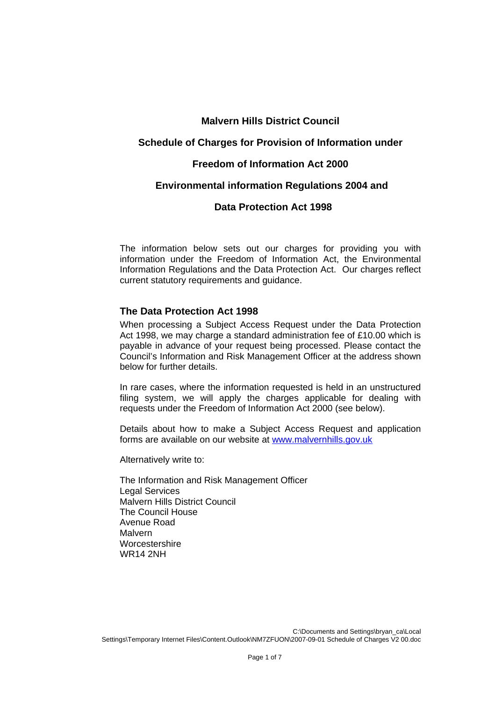# **Malvern Hills District Council**

## **Schedule of Charges for Provision of Information under**

### **Freedom of Information Act 2000**

## **Environmental information Regulations 2004 and**

# **Data Protection Act 1998**

The information below sets out our charges for providing you with information under the Freedom of Information Act, the Environmental Information Regulations and the Data Protection Act. Our charges reflect current statutory requirements and guidance.

### **The Data Protection Act 1998**

When processing a Subject Access Request under the Data Protection Act 1998, we may charge a standard administration fee of £10.00 which is payable in advance of your request being processed. Please contact the Council's Information and Risk Management Officer at the address shown below for further details.

In rare cases, where the information requested is held in an unstructured filing system, we will apply the charges applicable for dealing with requests under the Freedom of Information Act 2000 (see below).

Details about how to make a Subject Access Request and application forms are available on our website at [www.malvernhills.gov.uk](http://www.malvernhills.gov.uk/)

Alternatively write to:

The Information and Risk Management Officer Legal Services Malvern Hills District Council The Council House Avenue Road Malvern **Worcestershire** WR14 2NH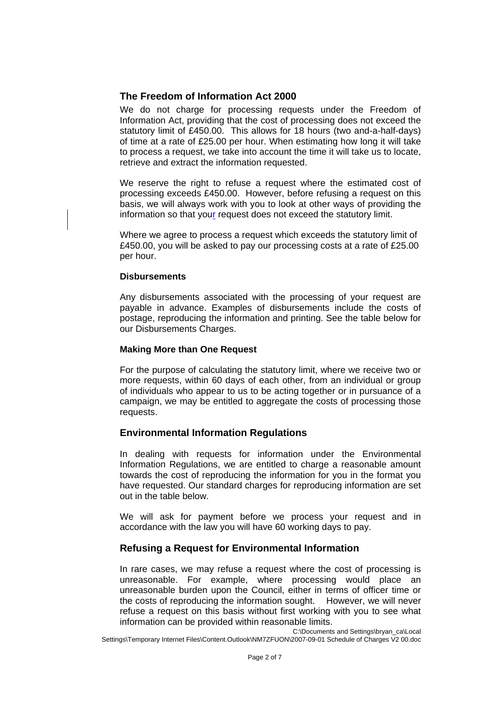# **The Freedom of Information Act 2000**

We do not charge for processing requests under the Freedom of Information Act, providing that the cost of processing does not exceed the statutory limit of £450.00. This allows for 18 hours (two and-a-half-days) of time at a rate of £25.00 per hour. When estimating how long it will take to process a request, we take into account the time it will take us to locate, retrieve and extract the information requested.

We reserve the right to refuse a request where the estimated cost of processing exceeds £450.00. However, before refusing a request on this basis, we will always work with you to look at other ways of providing the information so that your request does not exceed the statutory limit.

Where we agree to process a request which exceeds the statutory limit of £450.00, you will be asked to pay our processing costs at a rate of £25.00 per hour.

### **Disbursements**

Any disbursements associated with the processing of your request are payable in advance. Examples of disbursements include the costs of postage, reproducing the information and printing. See the table below for our Disbursements Charges.

### **Making More than One Request**

For the purpose of calculating the statutory limit, where we receive two or more requests, within 60 days of each other, from an individual or group of individuals who appear to us to be acting together or in pursuance of a campaign, we may be entitled to aggregate the costs of processing those requests.

### **Environmental Information Regulations**

In dealing with requests for information under the Environmental Information Regulations, we are entitled to charge a reasonable amount towards the cost of reproducing the information for you in the format you have requested. Our standard charges for reproducing information are set out in the table below.

We will ask for payment before we process your request and in accordance with the law you will have 60 working days to pay.

# **Refusing a Request for Environmental Information**

In rare cases, we may refuse a request where the cost of processing is unreasonable. For example, where processing would place an unreasonable burden upon the Council, either in terms of officer time or the costs of reproducing the information sought. However, we will never refuse a request on this basis without first working with you to see what information can be provided within reasonable limits.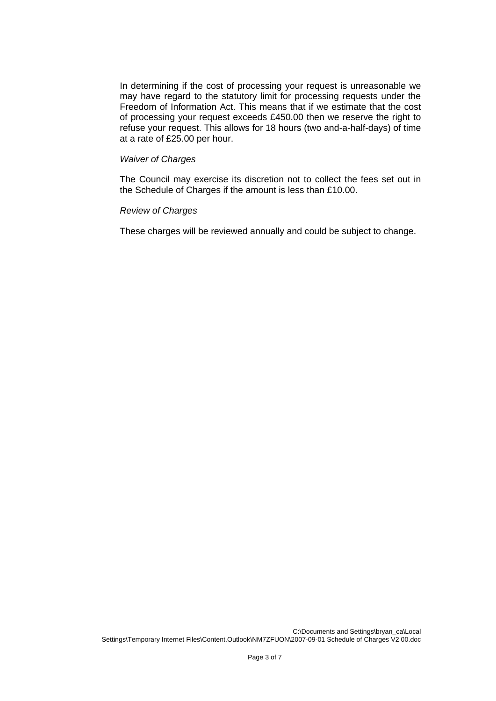In determining if the cost of processing your request is unreasonable we may have regard to the statutory limit for processing requests under the Freedom of Information Act. This means that if we estimate that the cost of processing your request exceeds £450.00 then we reserve the right to refuse your request. This allows for 18 hours (two and-a-half-days) of time at a rate of £25.00 per hour.

#### *Waiver of Charges*

The Council may exercise its discretion not to collect the fees set out in the Schedule of Charges if the amount is less than £10.00.

#### *Review of Charges*

These charges will be reviewed annually and could be subject to change.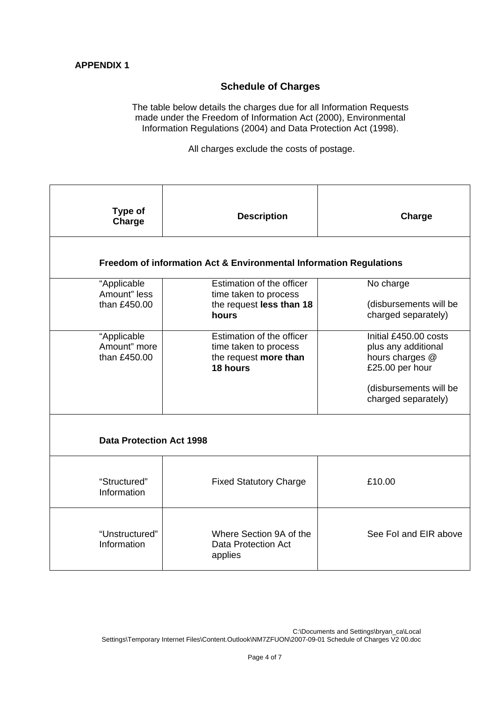# **Schedule of Charges**

The table below details the charges due for all Information Requests made under the Freedom of Information Act (2000), Environmental Information Regulations (2004) and Data Protection Act (1998).

All charges exclude the costs of postage.

| Type of<br>Charge                                                  | <b>Description</b>                                                                      | Charge                                                                                                                              |  |  |
|--------------------------------------------------------------------|-----------------------------------------------------------------------------------------|-------------------------------------------------------------------------------------------------------------------------------------|--|--|
| Freedom of information Act & Environmental Information Regulations |                                                                                         |                                                                                                                                     |  |  |
| "Applicable<br>Amount" less<br>than £450.00                        | Estimation of the officer<br>time taken to process<br>the request less than 18<br>hours | No charge<br>(disbursements will be<br>charged separately)                                                                          |  |  |
| "Applicable<br>Amount" more<br>than £450.00                        | Estimation of the officer<br>time taken to process<br>the request more than<br>18 hours | Initial £450.00 costs<br>plus any additional<br>hours charges @<br>£25.00 per hour<br>(disbursements will be<br>charged separately) |  |  |
| <b>Data Protection Act 1998</b>                                    |                                                                                         |                                                                                                                                     |  |  |
| "Structured"<br>Information                                        | <b>Fixed Statutory Charge</b>                                                           | £10.00                                                                                                                              |  |  |
| "Unstructured"<br>Information                                      | Where Section 9A of the<br><b>Data Protection Act</b><br>applies                        | See Fol and EIR above                                                                                                               |  |  |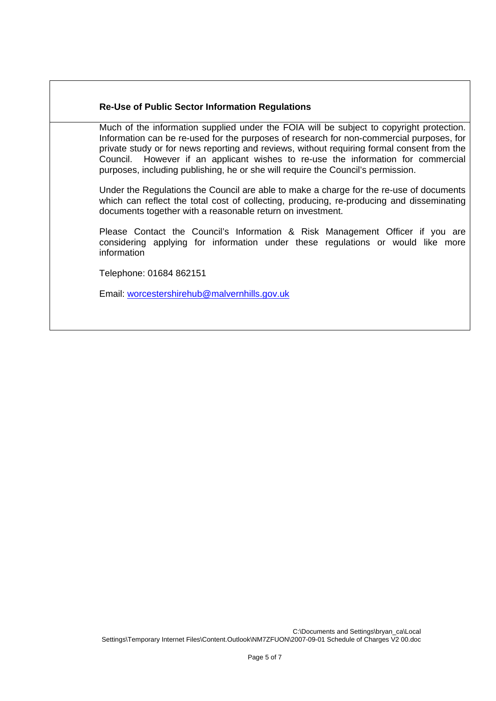### **Re-Use of Public Sector Information Regulations**

Much of the information supplied under the FOIA will be subject to copyright protection. Information can be re-used for the purposes of research for non-commercial purposes, for private study or for news reporting and reviews, without requiring formal consent from the Council. However if an applicant wishes to re-use the information for commercial However if an applicant wishes to re-use the information for commercial purposes, including publishing, he or she will require the Council's permission.

Under the Regulations the Council are able to make a charge for the re-use of documents which can reflect the total cost of collecting, producing, re-producing and disseminating documents together with a reasonable return on investment.

Please Contact the Council's Information & Risk Management Officer if you are considering applying for information under these regulations or would like more information

Telephone: 01684 862151

Email: [worcestershirehub@malvernhills.gov.uk](mailto:worcestershirehub@malvernhills.gov.uk)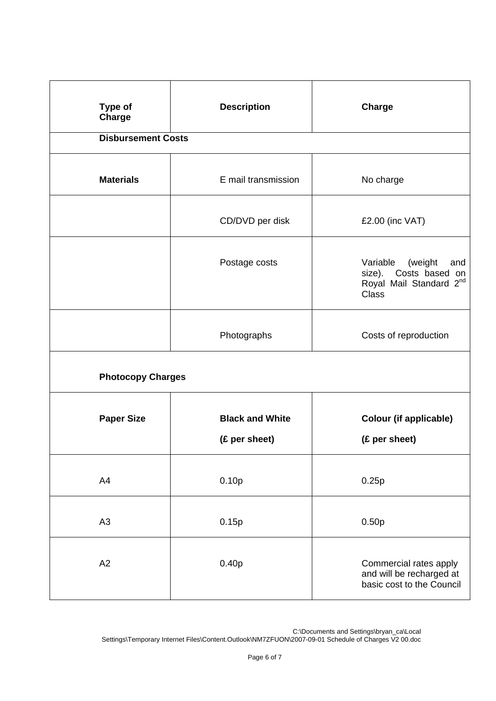| Type of<br><b>Charge</b>  | <b>Description</b>                      | <b>Charge</b>                                                                                  |  |  |
|---------------------------|-----------------------------------------|------------------------------------------------------------------------------------------------|--|--|
| <b>Disbursement Costs</b> |                                         |                                                                                                |  |  |
| <b>Materials</b>          | E mail transmission                     | No charge                                                                                      |  |  |
|                           | CD/DVD per disk                         | £2.00 (inc VAT)                                                                                |  |  |
|                           | Postage costs                           | Variable<br>(weight<br>and<br>size). Costs based on<br>Royal Mail Standard 2nd<br><b>Class</b> |  |  |
|                           | Photographs                             | Costs of reproduction                                                                          |  |  |
| <b>Photocopy Charges</b>  |                                         |                                                                                                |  |  |
| <b>Paper Size</b>         | <b>Black and White</b><br>(£ per sheet) | <b>Colour (if applicable)</b><br>(£ per sheet)                                                 |  |  |
| A4                        | 0.10p                                   | 0.25p                                                                                          |  |  |
| A <sub>3</sub>            | 0.15p                                   | 0.50p                                                                                          |  |  |
| A2                        | 0.40p                                   | Commercial rates apply<br>and will be recharged at<br>basic cost to the Council                |  |  |